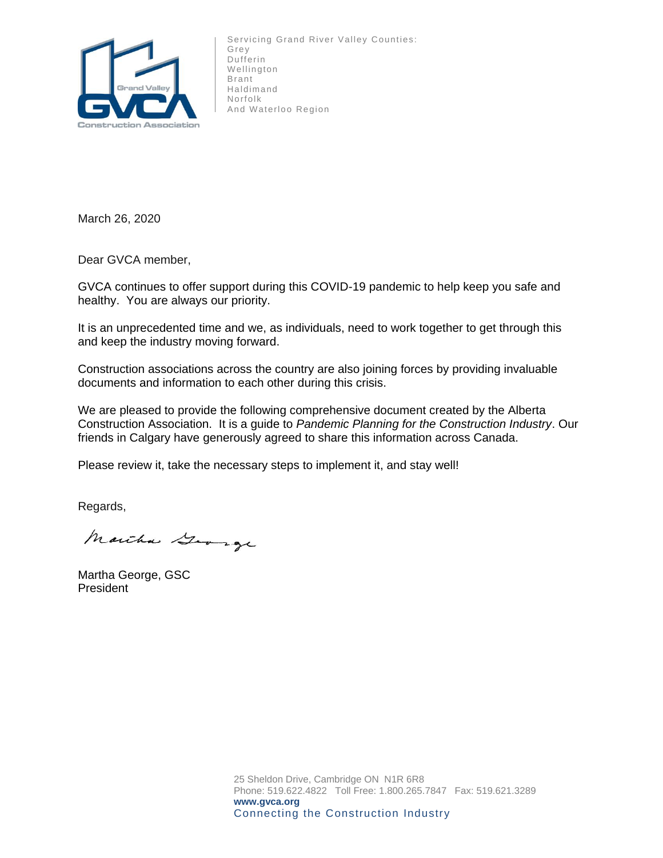

Servicing Grand River Valley Counties: Grey Dufferin Wellington Brant Haldimand Norfolk And Waterloo Region

March 26, 2020

Dear GVCA member,

GVCA continues to offer support during this COVID-19 pandemic to help keep you safe and healthy. You are always our priority.

It is an unprecedented time and we, as individuals, need to work together to get through this and keep the industry moving forward.

Construction associations across the country are also joining forces by providing invaluable documents and information to each other during this crisis.

We are pleased to provide the following comprehensive document created by the Alberta Construction Association. It is a guide to *Pandemic Planning for the Construction Industry*. Our friends in Calgary have generously agreed to share this information across Canada.

Please review it, take the necessary steps to implement it, and stay well!

Regards,

Marcha George

Martha George, GSC President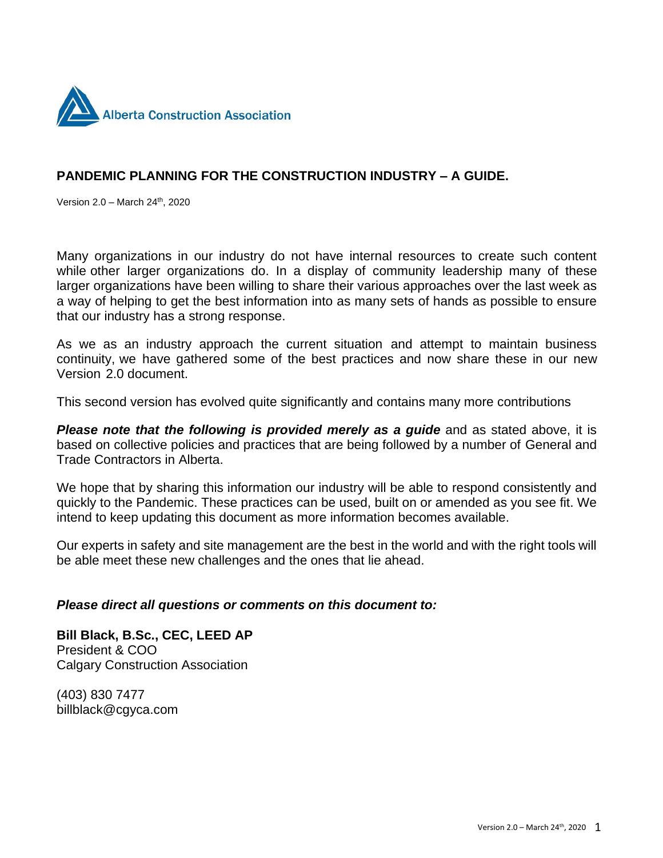

### **PANDEMIC PLANNING FOR THE CONSTRUCTION INDUSTRY – A GUIDE.**

Version 2.0 - March 24<sup>th</sup>, 2020

Many organizations in our industry do not have internal resources to create such content while other larger organizations do. In a display of community leadership many of these larger organizations have been willing to share their various approaches over the last week as a way of helping to get the best information into as many sets of hands as possible to ensure that our industry has a strong response.

As we as an industry approach the current situation and attempt to maintain business continuity, we have gathered some of the best practices and now share these in our new Version 2.0 document.

This second version has evolved quite significantly and contains many more contributions

*Please note that the following is provided merely as a guide* and as stated above, it is based on collective policies and practices that are being followed by a number of General and Trade Contractors in Alberta.

We hope that by sharing this information our industry will be able to respond consistently and quickly to the Pandemic. These practices can be used, built on or amended as you see fit. We intend to keep updating this document as more information becomes available.

Our experts in safety and site management are the best in the world and with the right tools will be able meet these new challenges and the ones that lie ahead.

#### *Please direct all questions or comments on this document to:*

**Bill Black, B.Sc., CEC, LEED AP**  President & COO Calgary Construction Association

(403) 830 7477 billblack@cgyca.com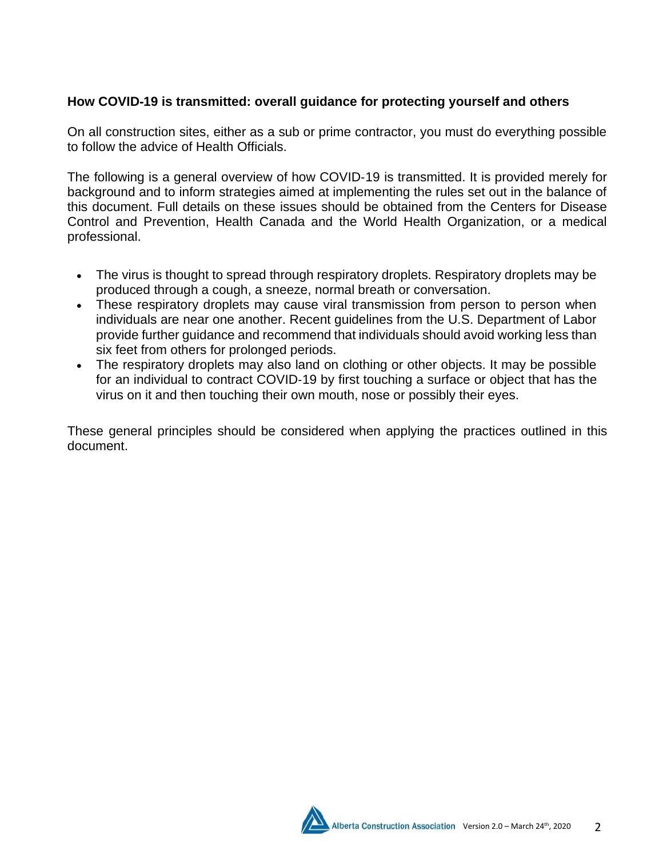# **How COVID**‐**19 is transmitted: overall guidance for protecting yourself and others**

On all construction sites, either as a sub or prime contractor, you must do everything possible to follow the advice of Health Officials.

The following is a general overview of how COVID‐19 is transmitted. It is provided merely for background and to inform strategies aimed at implementing the rules set out in the balance of this document. Full details on these issues should be obtained from the Centers for Disease Control and Prevention, Health Canada and the World Health Organization, or a medical professional.

- The virus is thought to spread through respiratory droplets. Respiratory droplets may be produced through a cough, a sneeze, normal breath or conversation.
- These respiratory droplets may cause viral transmission from person to person when individuals are near one another. Recent guidelines from the U.S. Department of Labor provide further guidance and recommend that individuals should avoid working less than six feet from others for prolonged periods.
- The respiratory droplets may also land on clothing or other objects. It may be possible for an individual to contract COVID‐19 by first touching a surface or object that has the virus on it and then touching their own mouth, nose or possibly their eyes.

These general principles should be considered when applying the practices outlined in this document.

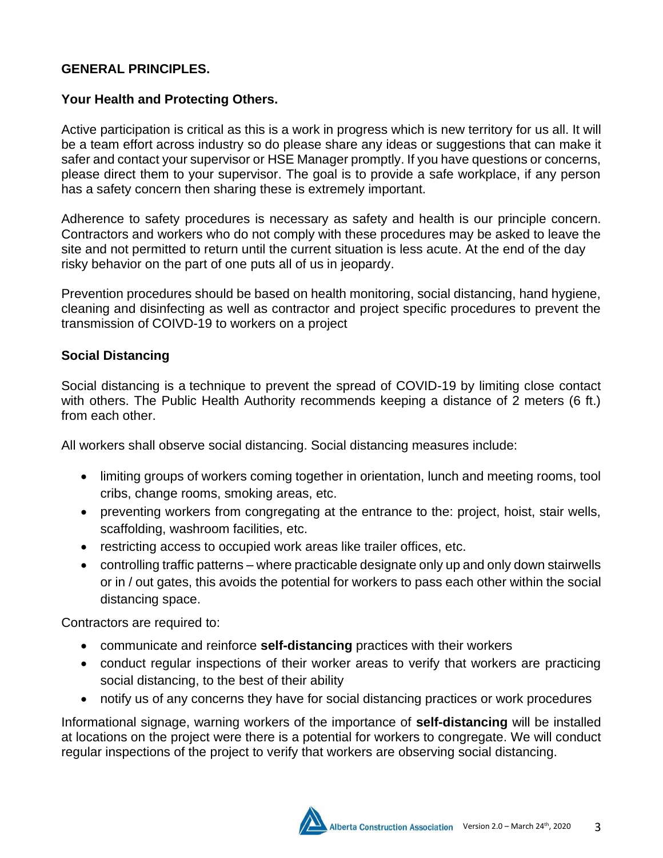#### **GENERAL PRINCIPLES.**

#### **Your Health and Protecting Others.**

Active participation is critical as this is a work in progress which is new territory for us all. It will be a team effort across industry so do please share any ideas or suggestions that can make it safer and contact your supervisor or HSE Manager promptly. If you have questions or concerns, please direct them to your supervisor. The goal is to provide a safe workplace, if any person has a safety concern then sharing these is extremely important.

Adherence to safety procedures is necessary as safety and health is our principle concern. Contractors and workers who do not comply with these procedures may be asked to leave the site and not permitted to return until the current situation is less acute. At the end of the day risky behavior on the part of one puts all of us in jeopardy.

Prevention procedures should be based on health monitoring, social distancing, hand hygiene, cleaning and disinfecting as well as contractor and project specific procedures to prevent the transmission of COIVD-19 to workers on a project

### **Social Distancing**

Social distancing is a technique to prevent the spread of COVID-19 by limiting close contact with others. The Public Health Authority recommends keeping a distance of 2 meters (6 ft.) from each other.

All workers shall observe social distancing. Social distancing measures include:

- limiting groups of workers coming together in orientation, lunch and meeting rooms, tool cribs, change rooms, smoking areas, etc.
- preventing workers from congregating at the entrance to the: project, hoist, stair wells, scaffolding, washroom facilities, etc.
- restricting access to occupied work areas like trailer offices, etc.
- controlling traffic patterns where practicable designate only up and only down stairwells or in / out gates, this avoids the potential for workers to pass each other within the social distancing space.

Contractors are required to:

- communicate and reinforce **self-distancing** practices with their workers
- conduct regular inspections of their worker areas to verify that workers are practicing social distancing, to the best of their ability
- notify us of any concerns they have for social distancing practices or work procedures

Informational signage, warning workers of the importance of **self-distancing** will be installed at locations on the project were there is a potential for workers to congregate. We will conduct regular inspections of the project to verify that workers are observing social distancing.

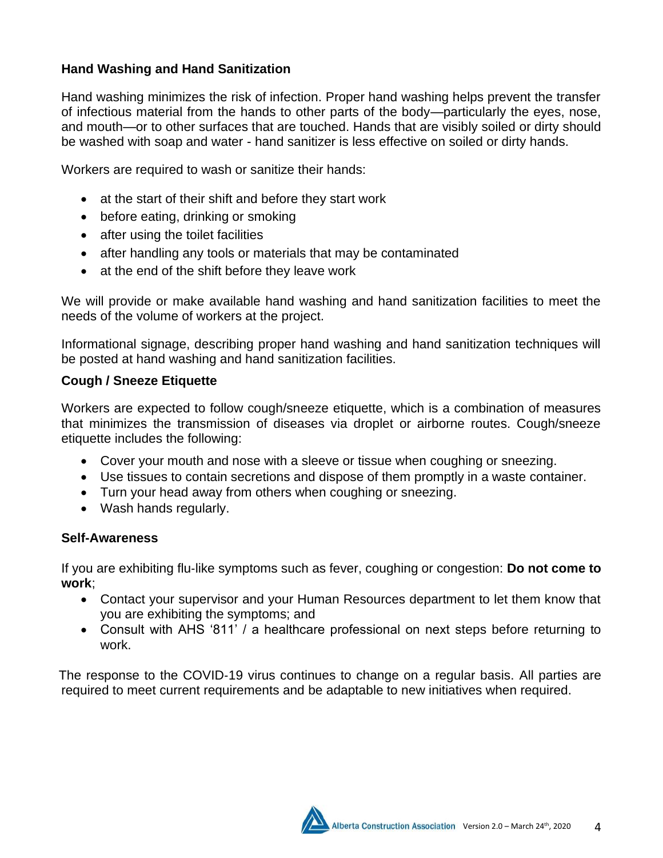# **Hand Washing and Hand Sanitization**

Hand washing minimizes the risk of infection. Proper hand washing helps prevent the transfer of infectious material from the hands to other parts of the body—particularly the eyes, nose, and mouth—or to other surfaces that are touched. Hands that are visibly soiled or dirty should be washed with soap and water - hand sanitizer is less effective on soiled or dirty hands.

Workers are required to wash or sanitize their hands:

- at the start of their shift and before they start work
- before eating, drinking or smoking
- after using the toilet facilities
- after handling any tools or materials that may be contaminated
- at the end of the shift before they leave work

We will provide or make available hand washing and hand sanitization facilities to meet the needs of the volume of workers at the project.

Informational signage, describing proper hand washing and hand sanitization techniques will be posted at hand washing and hand sanitization facilities.

#### **Cough / Sneeze Etiquette**

Workers are expected to follow cough/sneeze etiquette, which is a combination of measures that minimizes the transmission of diseases via droplet or airborne routes. Cough/sneeze etiquette includes the following:

- Cover your mouth and nose with a sleeve or tissue when coughing or sneezing.
- Use tissues to contain secretions and dispose of them promptly in a waste container.
- Turn your head away from others when coughing or sneezing.
- Wash hands regularly.

#### **Self-Awareness**

If you are exhibiting flu‐like symptoms such as fever, coughing or congestion: **Do not come to work**;

- Contact your supervisor and your Human Resources department to let them know that you are exhibiting the symptoms; and
- Consult with AHS '811' / a healthcare professional on next steps before returning to work.

The response to the COVID‐19 virus continues to change on a regular basis. All parties are required to meet current requirements and be adaptable to new initiatives when required.

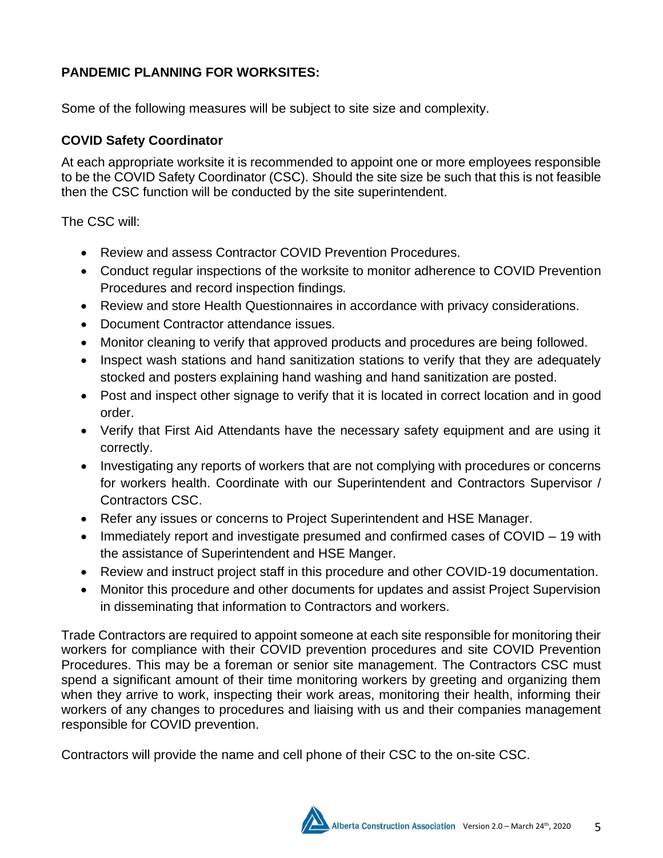# **PANDEMIC PLANNING FOR WORKSITES:**

Some of the following measures will be subject to site size and complexity.

# **COVID Safety Coordinator**

At each appropriate worksite it is recommended to appoint one or more employees responsible to be the COVID Safety Coordinator (CSC). Should the site size be such that this is not feasible then the CSC function will be conducted by the site superintendent.

The CSC will:

- Review and assess Contractor COVID Prevention Procedures.
- Conduct regular inspections of the worksite to monitor adherence to COVID Prevention Procedures and record inspection findings*.*
- Review and store Health Questionnaires in accordance with privacy considerations.
- Document Contractor attendance issues*.*
- Monitor cleaning to verify that approved products and procedures are being followed.
- Inspect wash stations and hand sanitization stations to verify that they are adequately stocked and posters explaining hand washing and hand sanitization are posted.
- Post and inspect other signage to verify that it is located in correct location and in good order.
- Verify that First Aid Attendants have the necessary safety equipment and are using it correctly.
- Investigating any reports of workers that are not complying with procedures or concerns for workers health. Coordinate with our Superintendent and Contractors Supervisor / Contractors CSC.
- Refer any issues or concerns to Project Superintendent and HSE Manager.
- Immediately report and investigate presumed and confirmed cases of COVID 19 with the assistance of Superintendent and HSE Manger.
- Review and instruct project staff in this procedure and other COVID-19 documentation.
- Monitor this procedure and other documents for updates and assist Project Supervision in disseminating that information to Contractors and workers.

Trade Contractors are required to appoint someone at each site responsible for monitoring their workers for compliance with their COVID prevention procedures and site COVID Prevention Procedures. This may be a foreman or senior site management. The Contractors CSC must spend a significant amount of their time monitoring workers by greeting and organizing them when they arrive to work, inspecting their work areas, monitoring their health, informing their workers of any changes to procedures and liaising with us and their companies management responsible for COVID prevention.

Contractors will provide the name and cell phone of their CSC to the on-site CSC.

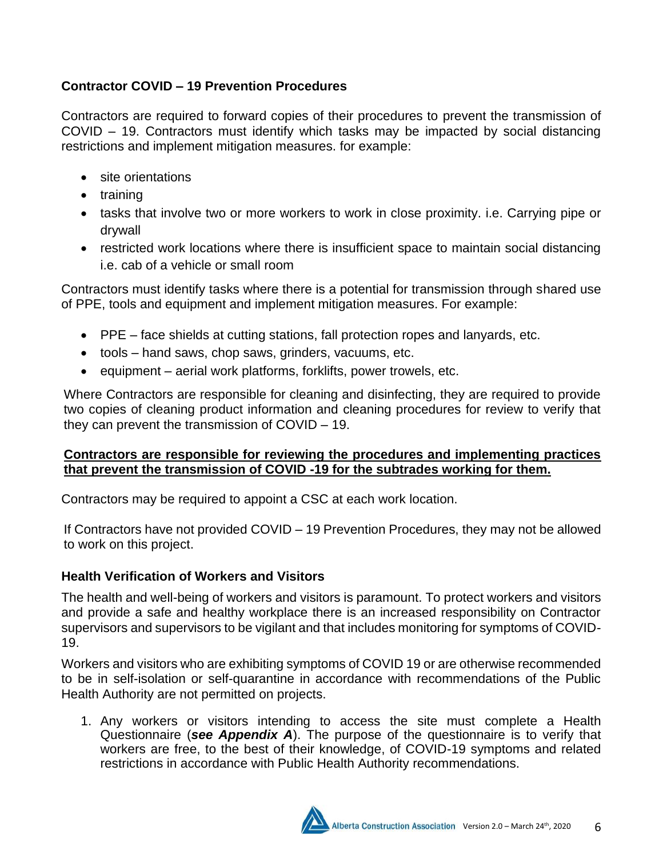# **Contractor COVID – 19 Prevention Procedures**

Contractors are required to forward copies of their procedures to prevent the transmission of COVID – 19. Contractors must identify which tasks may be impacted by social distancing restrictions and implement mitigation measures. for example:

- site orientations
- training
- tasks that involve two or more workers to work in close proximity. i.e. Carrying pipe or drywall
- restricted work locations where there is insufficient space to maintain social distancing i.e. cab of a vehicle or small room

Contractors must identify tasks where there is a potential for transmission through shared use of PPE, tools and equipment and implement mitigation measures. For example:

- PPE face shields at cutting stations, fall protection ropes and lanyards, etc.
- tools hand saws, chop saws, grinders, vacuums, etc.
- equipment aerial work platforms, forklifts, power trowels, etc.

Where Contractors are responsible for cleaning and disinfecting, they are required to provide two copies of cleaning product information and cleaning procedures for review to verify that they can prevent the transmission of COVID – 19.

#### **Contractors are responsible for reviewing the procedures and implementing practices that prevent the transmission of COVID -19 for the subtrades working for them.**

Contractors may be required to appoint a CSC at each work location.

If Contractors have not provided COVID – 19 Prevention Procedures, they may not be allowed to work on this project.

# **Health Verification of Workers and Visitors**

The health and well-being of workers and visitors is paramount. To protect workers and visitors and provide a safe and healthy workplace there is an increased responsibility on Contractor supervisors and supervisors to be vigilant and that includes monitoring for symptoms of COVID-19.

Workers and visitors who are exhibiting symptoms of COVID 19 or are otherwise recommended to be in self-isolation or self-quarantine in accordance with recommendations of the Public Health Authority are not permitted on projects.

1. Any workers or visitors intending to access the site must complete a Health Questionnaire (*see Appendix A*). The purpose of the questionnaire is to verify that workers are free, to the best of their knowledge, of COVID-19 symptoms and related restrictions in accordance with Public Health Authority recommendations.

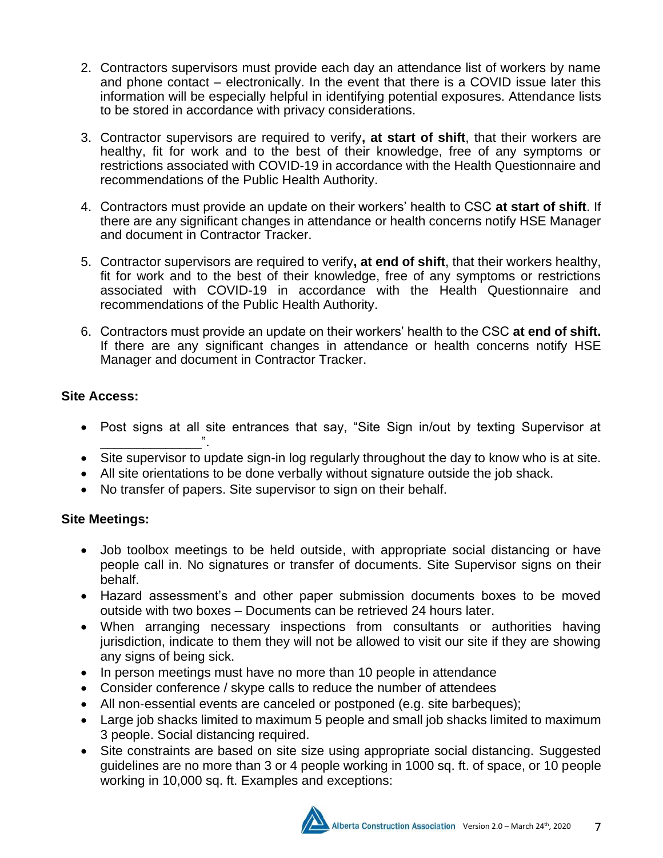- 2. Contractors supervisors must provide each day an attendance list of workers by name and phone contact – electronically. In the event that there is a COVID issue later this information will be especially helpful in identifying potential exposures. Attendance lists to be stored in accordance with privacy considerations.
- 3. Contractor supervisors are required to verify**, at start of shift**, that their workers are healthy, fit for work and to the best of their knowledge, free of any symptoms or restrictions associated with COVID-19 in accordance with the Health Questionnaire and recommendations of the Public Health Authority.
- 4. Contractors must provide an update on their workers' health to CSC **at start of shift**. If there are any significant changes in attendance or health concerns notify HSE Manager and document in Contractor Tracker.
- 5. Contractor supervisors are required to verify**, at end of shift**, that their workers healthy, fit for work and to the best of their knowledge, free of any symptoms or restrictions associated with COVID-19 in accordance with the Health Questionnaire and recommendations of the Public Health Authority.
- 6. Contractors must provide an update on their workers' health to the CSC **at end of shift.** If there are any significant changes in attendance or health concerns notify HSE Manager and document in Contractor Tracker.

### **Site Access:**

- Post signs at all site entrances that say, "Site Sign in/out by texting Supervisor at \_\_\_\_\_\_\_\_\_\_\_\_\_\_".
- Site supervisor to update sign-in log regularly throughout the day to know who is at site.
- All site orientations to be done verbally without signature outside the job shack.
- No transfer of papers. Site supervisor to sign on their behalf.

# **Site Meetings:**

- Job toolbox meetings to be held outside, with appropriate social distancing or have people call in. No signatures or transfer of documents. Site Supervisor signs on their behalf.
- Hazard assessment's and other paper submission documents boxes to be moved outside with two boxes – Documents can be retrieved 24 hours later.
- When arranging necessary inspections from consultants or authorities having jurisdiction, indicate to them they will not be allowed to visit our site if they are showing any signs of being sick.
- In person meetings must have no more than 10 people in attendance
- Consider conference / skype calls to reduce the number of attendees
- All non-essential events are canceled or postponed (e.g. site barbeques);
- Large job shacks limited to maximum 5 people and small job shacks limited to maximum 3 people. Social distancing required.
- Site constraints are based on site size using appropriate social distancing. Suggested guidelines are no more than 3 or 4 people working in 1000 sq. ft. of space, or 10 people working in 10,000 sq. ft. Examples and exceptions:

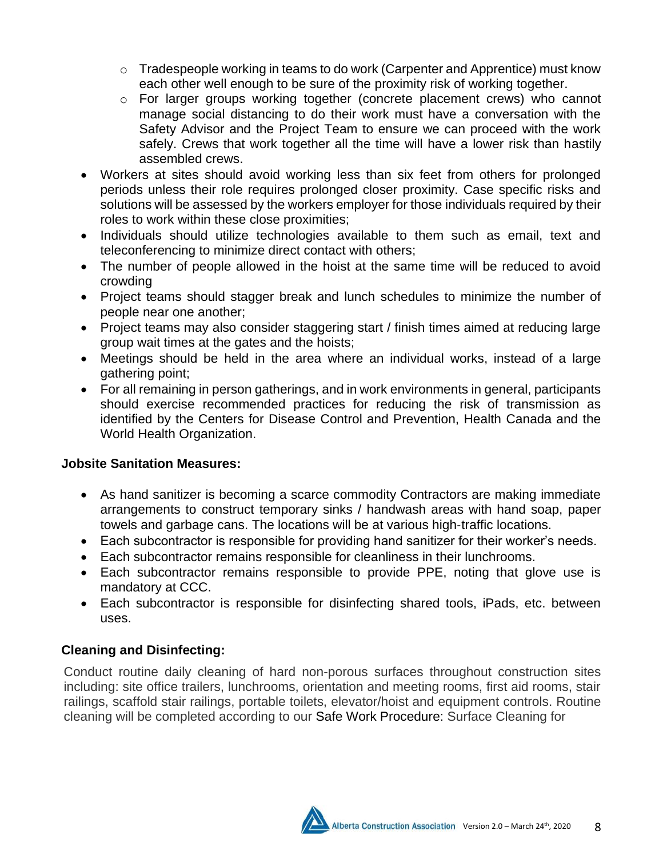- $\circ$  Tradespeople working in teams to do work (Carpenter and Apprentice) must know each other well enough to be sure of the proximity risk of working together.
- o For larger groups working together (concrete placement crews) who cannot manage social distancing to do their work must have a conversation with the Safety Advisor and the Project Team to ensure we can proceed with the work safely. Crews that work together all the time will have a lower risk than hastily assembled crews.
- Workers at sites should avoid working less than six feet from others for prolonged periods unless their role requires prolonged closer proximity. Case specific risks and solutions will be assessed by the workers employer for those individuals required by their roles to work within these close proximities;
- Individuals should utilize technologies available to them such as email, text and teleconferencing to minimize direct contact with others;
- The number of people allowed in the hoist at the same time will be reduced to avoid crowding
- Project teams should stagger break and lunch schedules to minimize the number of people near one another;
- Project teams may also consider staggering start / finish times aimed at reducing large group wait times at the gates and the hoists;
- Meetings should be held in the area where an individual works, instead of a large gathering point;
- For all remaining in person gatherings, and in work environments in general, participants should exercise recommended practices for reducing the risk of transmission as identified by the Centers for Disease Control and Prevention, Health Canada and the World Health Organization.

# **Jobsite Sanitation Measures:**

- As hand sanitizer is becoming a scarce commodity Contractors are making immediate arrangements to construct temporary sinks / handwash areas with hand soap, paper towels and garbage cans. The locations will be at various high‐traffic locations.
- Each subcontractor is responsible for providing hand sanitizer for their worker's needs.
- Each subcontractor remains responsible for cleanliness in their lunchrooms.
- Each subcontractor remains responsible to provide PPE, noting that glove use is mandatory at CCC.
- Each subcontractor is responsible for disinfecting shared tools, iPads, etc. between uses.

# **Cleaning and Disinfecting:**

Conduct routine daily cleaning of hard non-porous surfaces throughout construction sites including: site office trailers, lunchrooms, orientation and meeting rooms, first aid rooms, stair railings, scaffold stair railings, portable toilets, elevator/hoist and equipment controls. Routine cleaning will be completed according to our Safe Work Procedure: Surface Cleaning for

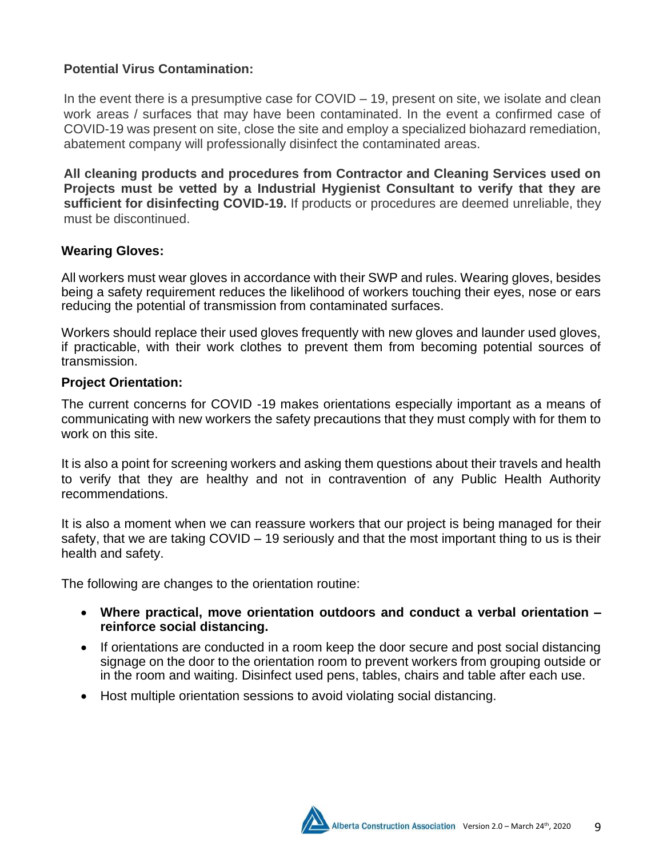## **Potential Virus Contamination:**

In the event there is a presumptive case for COVID – 19, present on site, we isolate and clean work areas / surfaces that may have been contaminated. In the event a confirmed case of COVID-19 was present on site, close the site and employ a specialized biohazard remediation, abatement company will professionally disinfect the contaminated areas.

**All cleaning products and procedures from Contractor and Cleaning Services used on Projects must be vetted by a Industrial Hygienist Consultant to verify that they are sufficient for disinfecting COVID-19.** If products or procedures are deemed unreliable, they must be discontinued.

#### **Wearing Gloves:**

All workers must wear gloves in accordance with their SWP and rules. Wearing gloves, besides being a safety requirement reduces the likelihood of workers touching their eyes, nose or ears reducing the potential of transmission from contaminated surfaces.

Workers should replace their used gloves frequently with new gloves and launder used gloves, if practicable, with their work clothes to prevent them from becoming potential sources of transmission.

#### **Project Orientation:**

The current concerns for COVID -19 makes orientations especially important as a means of communicating with new workers the safety precautions that they must comply with for them to work on this site.

It is also a point for screening workers and asking them questions about their travels and health to verify that they are healthy and not in contravention of any Public Health Authority recommendations.

It is also a moment when we can reassure workers that our project is being managed for their safety, that we are taking COVID – 19 seriously and that the most important thing to us is their health and safety.

The following are changes to the orientation routine:

- **Where practical, move orientation outdoors and conduct a verbal orientation – reinforce social distancing.**
- If orientations are conducted in a room keep the door secure and post social distancing signage on the door to the orientation room to prevent workers from grouping outside or in the room and waiting. Disinfect used pens, tables, chairs and table after each use.
- Host multiple orientation sessions to avoid violating social distancing.

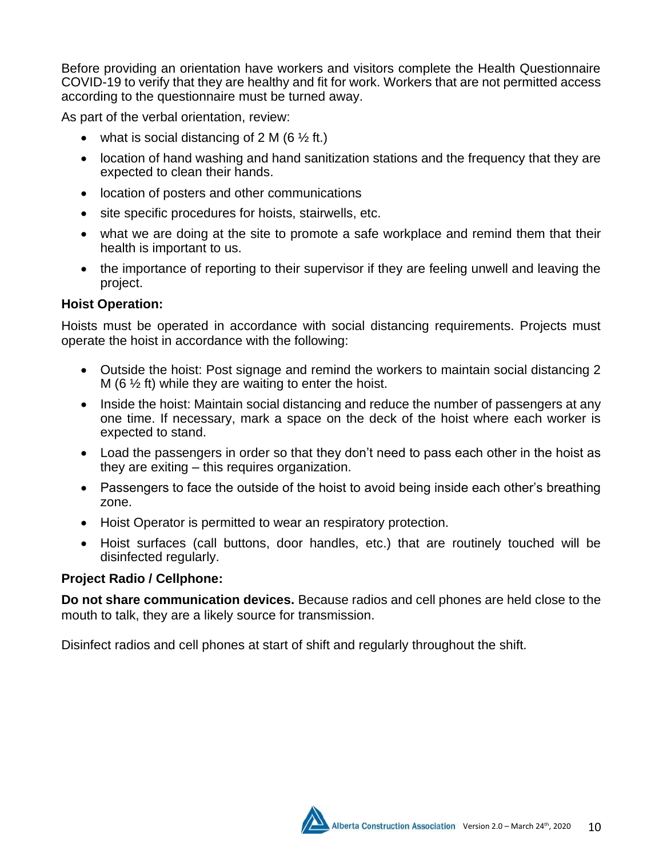Before providing an orientation have workers and visitors complete the Health Questionnaire COVID-19 to verify that they are healthy and fit for work. Workers that are not permitted access according to the questionnaire must be turned away.

As part of the verbal orientation, review:

- what is social distancing of 2 M (6  $\frac{1}{2}$  ft.)
- location of hand washing and hand sanitization stations and the frequency that they are expected to clean their hands.
- location of posters and other communications
- site specific procedures for hoists, stairwells, etc.
- what we are doing at the site to promote a safe workplace and remind them that their health is important to us.
- the importance of reporting to their supervisor if they are feeling unwell and leaving the project.

### **Hoist Operation:**

Hoists must be operated in accordance with social distancing requirements. Projects must operate the hoist in accordance with the following:

- Outside the hoist: Post signage and remind the workers to maintain social distancing 2 M (6  $\frac{1}{2}$  ft) while they are waiting to enter the hoist.
- Inside the hoist: Maintain social distancing and reduce the number of passengers at any one time. If necessary, mark a space on the deck of the hoist where each worker is expected to stand.
- Load the passengers in order so that they don't need to pass each other in the hoist as they are exiting – this requires organization.
- Passengers to face the outside of the hoist to avoid being inside each other's breathing zone.
- Hoist Operator is permitted to wear an respiratory protection.
- Hoist surfaces (call buttons, door handles, etc.) that are routinely touched will be disinfected regularly.

#### **Project Radio / Cellphone:**

**Do not share communication devices.** Because radios and cell phones are held close to the mouth to talk, they are a likely source for transmission.

Disinfect radios and cell phones at start of shift and regularly throughout the shift.

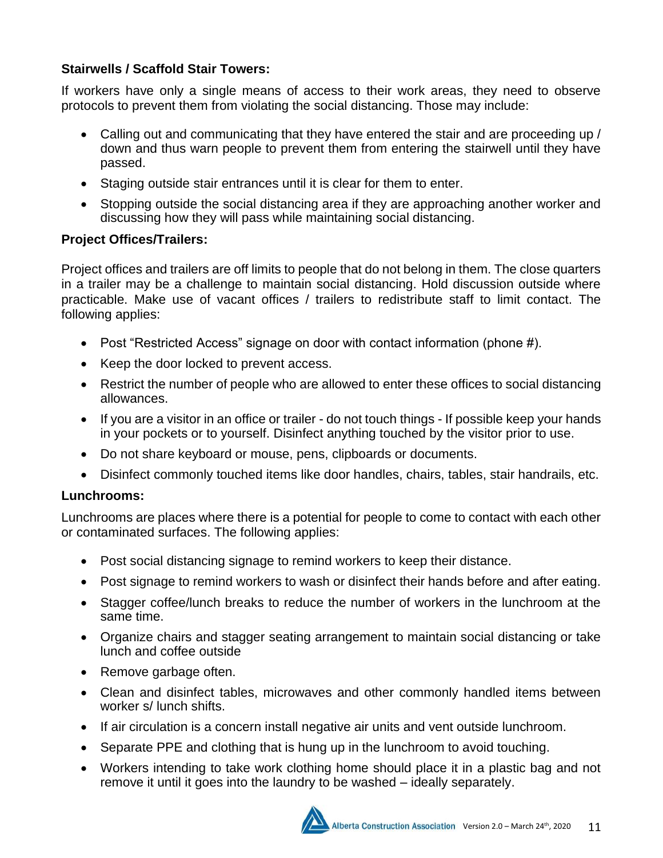# **Stairwells / Scaffold Stair Towers:**

If workers have only a single means of access to their work areas, they need to observe protocols to prevent them from violating the social distancing. Those may include:

- Calling out and communicating that they have entered the stair and are proceeding up / down and thus warn people to prevent them from entering the stairwell until they have passed.
- Staging outside stair entrances until it is clear for them to enter.
- Stopping outside the social distancing area if they are approaching another worker and discussing how they will pass while maintaining social distancing.

# **Project Offices/Trailers:**

Project offices and trailers are off limits to people that do not belong in them. The close quarters in a trailer may be a challenge to maintain social distancing. Hold discussion outside where practicable. Make use of vacant offices / trailers to redistribute staff to limit contact. The following applies:

- Post "Restricted Access" signage on door with contact information (phone #).
- Keep the door locked to prevent access.
- Restrict the number of people who are allowed to enter these offices to social distancing allowances.
- If you are a visitor in an office or trailer do not touch things If possible keep your hands in your pockets or to yourself. Disinfect anything touched by the visitor prior to use.
- Do not share keyboard or mouse, pens, clipboards or documents.
- Disinfect commonly touched items like door handles, chairs, tables, stair handrails, etc.

# **Lunchrooms:**

Lunchrooms are places where there is a potential for people to come to contact with each other or contaminated surfaces. The following applies:

- Post social distancing signage to remind workers to keep their distance.
- Post signage to remind workers to wash or disinfect their hands before and after eating.
- Stagger coffee/lunch breaks to reduce the number of workers in the lunchroom at the same time.
- Organize chairs and stagger seating arrangement to maintain social distancing or take lunch and coffee outside
- Remove garbage often.
- Clean and disinfect tables, microwaves and other commonly handled items between worker s/ lunch shifts.
- If air circulation is a concern install negative air units and vent outside lunchroom.
- Separate PPE and clothing that is hung up in the lunchroom to avoid touching.
- Workers intending to take work clothing home should place it in a plastic bag and not remove it until it goes into the laundry to be washed – ideally separately.

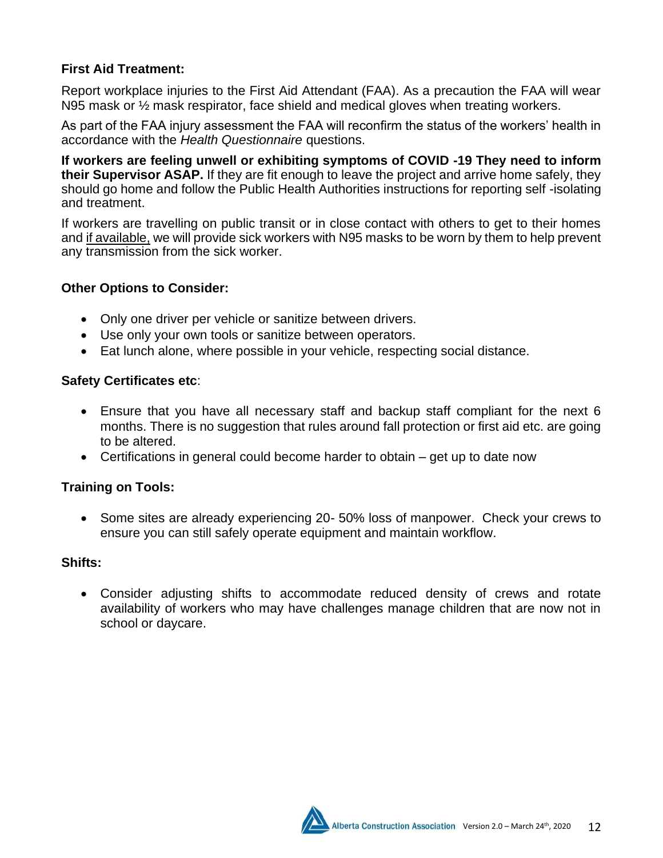## **First Aid Treatment:**

Report workplace injuries to the First Aid Attendant (FAA). As a precaution the FAA will wear N95 mask or ½ mask respirator, face shield and medical gloves when treating workers.

As part of the FAA injury assessment the FAA will reconfirm the status of the workers' health in accordance with the *Health Questionnaire* questions.

**If workers are feeling unwell or exhibiting symptoms of COVID -19 They need to inform their Supervisor ASAP.** If they are fit enough to leave the project and arrive home safely, they should go home and follow the Public Health Authorities instructions for reporting self -isolating and treatment.

If workers are travelling on public transit or in close contact with others to get to their homes and if available, we will provide sick workers with N95 masks to be worn by them to help prevent any transmission from the sick worker.

#### **Other Options to Consider:**

- Only one driver per vehicle or sanitize between drivers.
- Use only your own tools or sanitize between operators.
- Eat lunch alone, where possible in your vehicle, respecting social distance.

#### **Safety Certificates etc**:

- Ensure that you have all necessary staff and backup staff compliant for the next 6 months. There is no suggestion that rules around fall protection or first aid etc. are going to be altered.
- Certifications in general could become harder to obtain get up to date now

# **Training on Tools:**

• Some sites are already experiencing 20- 50% loss of manpower. Check your crews to ensure you can still safely operate equipment and maintain workflow.

#### **Shifts:**

• Consider adjusting shifts to accommodate reduced density of crews and rotate availability of workers who may have challenges manage children that are now not in school or daycare.

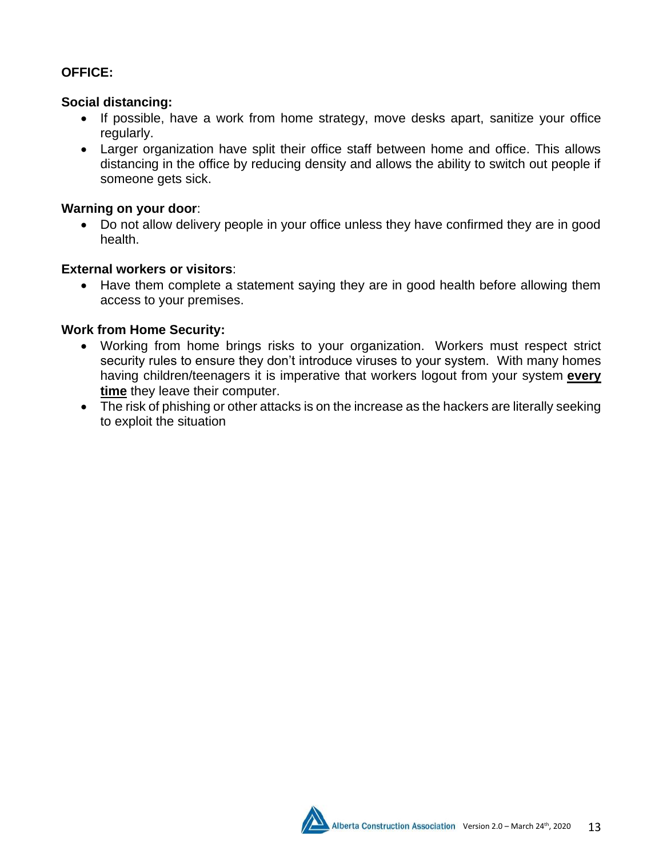# **OFFICE:**

#### **Social distancing:**

- If possible, have a work from home strategy, move desks apart, sanitize your office regularly.
- Larger organization have split their office staff between home and office. This allows distancing in the office by reducing density and allows the ability to switch out people if someone gets sick.

### **Warning on your door**:

• Do not allow delivery people in your office unless they have confirmed they are in good health.

#### **External workers or visitors**:

• Have them complete a statement saying they are in good health before allowing them access to your premises.

# **Work from Home Security:**

- Working from home brings risks to your organization. Workers must respect strict security rules to ensure they don't introduce viruses to your system. With many homes having children/teenagers it is imperative that workers logout from your system **every time** they leave their computer.
- The risk of phishing or other attacks is on the increase as the hackers are literally seeking to exploit the situation

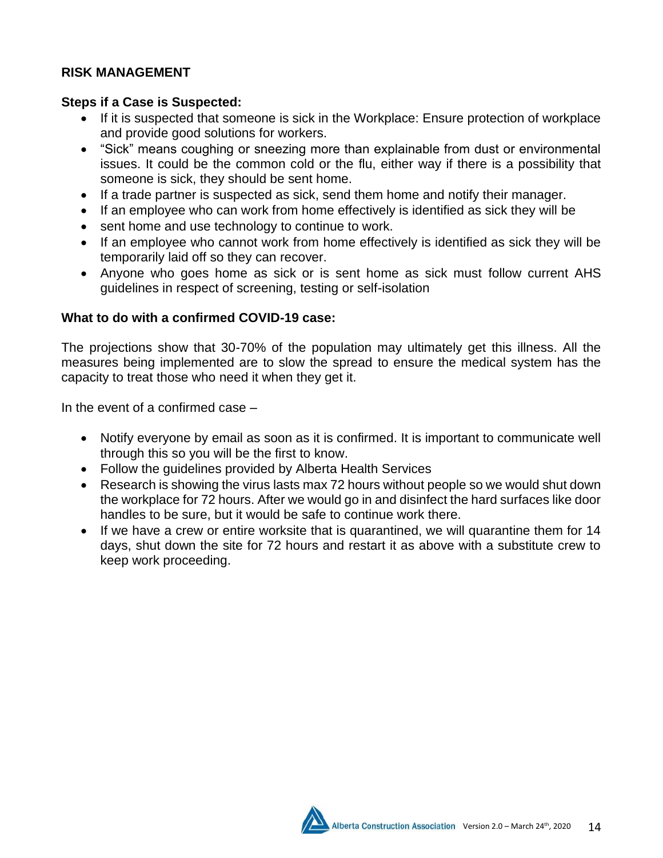## **RISK MANAGEMENT**

#### **Steps if a Case is Suspected:**

- If it is suspected that someone is sick in the Workplace: Ensure protection of workplace and provide good solutions for workers.
- "Sick" means coughing or sneezing more than explainable from dust or environmental issues. It could be the common cold or the flu, either way if there is a possibility that someone is sick, they should be sent home.
- If a trade partner is suspected as sick, send them home and notify their manager.
- If an employee who can work from home effectively is identified as sick they will be
- sent home and use technology to continue to work.
- If an employee who cannot work from home effectively is identified as sick they will be temporarily laid off so they can recover.
- Anyone who goes home as sick or is sent home as sick must follow current AHS guidelines in respect of screening, testing or self-isolation

#### **What to do with a confirmed COVID-19 case:**

The projections show that 30-70% of the population may ultimately get this illness. All the measures being implemented are to slow the spread to ensure the medical system has the capacity to treat those who need it when they get it.

In the event of a confirmed case –

- Notify everyone by email as soon as it is confirmed. It is important to communicate well through this so you will be the first to know.
- Follow the guidelines provided by Alberta Health Services
- Research is showing the virus lasts max 72 hours without people so we would shut down the workplace for 72 hours. After we would go in and disinfect the hard surfaces like door handles to be sure, but it would be safe to continue work there.
- If we have a crew or entire worksite that is quarantined, we will quarantine them for 14 days, shut down the site for 72 hours and restart it as above with a substitute crew to keep work proceeding.

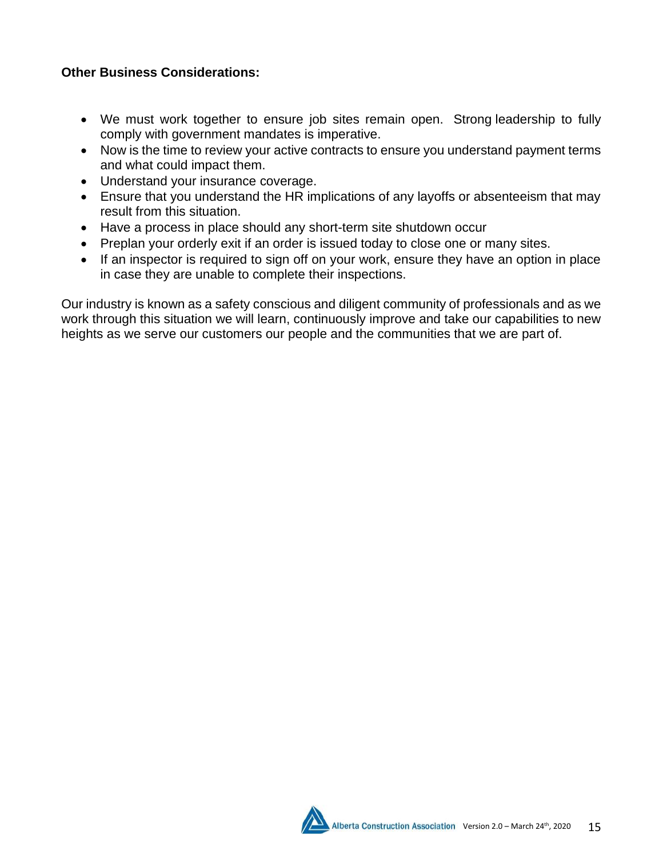## **Other Business Considerations:**

- We must work together to ensure job sites remain open. Strong leadership to fully comply with government mandates is imperative.
- Now is the time to review your active contracts to ensure you understand payment terms and what could impact them.
- Understand your insurance coverage.
- Ensure that you understand the HR implications of any layoffs or absenteeism that may result from this situation.
- Have a process in place should any short-term site shutdown occur
- Preplan your orderly exit if an order is issued today to close one or many sites.
- If an inspector is required to sign off on your work, ensure they have an option in place in case they are unable to complete their inspections.

Our industry is known as a safety conscious and diligent community of professionals and as we work through this situation we will learn, continuously improve and take our capabilities to new heights as we serve our customers our people and the communities that we are part of.

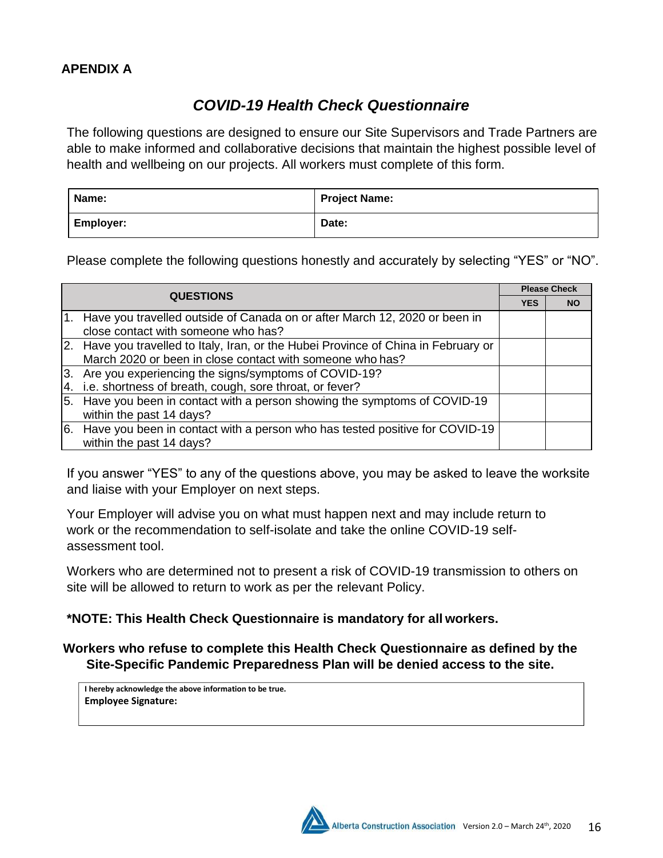#### **APENDIX A**

# *COVID-19 Health Check Questionnaire*

The following questions are designed to ensure our Site Supervisors and Trade Partners are able to make informed and collaborative decisions that maintain the highest possible level of health and wellbeing on our projects. All workers must complete of this form.

| Name:            | <b>Project Name:</b> |
|------------------|----------------------|
| <b>Employer:</b> | Date:                |

Please complete the following questions honestly and accurately by selecting "YES" or "NO".

| <b>QUESTIONS</b> |                                                                                                                                                  | <b>Please Check</b> |           |
|------------------|--------------------------------------------------------------------------------------------------------------------------------------------------|---------------------|-----------|
|                  |                                                                                                                                                  | <b>YES</b>          | <b>NO</b> |
|                  | 1. Have you travelled outside of Canada on or after March 12, 2020 or been in<br>close contact with someone who has?                             |                     |           |
|                  | 2. Have you travelled to Italy, Iran, or the Hubei Province of China in February or<br>March 2020 or been in close contact with someone who has? |                     |           |
|                  | 3. Are you experiencing the signs/symptoms of COVID-19?                                                                                          |                     |           |
|                  | 4. i.e. shortness of breath, cough, sore throat, or fever?                                                                                       |                     |           |
|                  | 5. Have you been in contact with a person showing the symptoms of COVID-19<br>within the past 14 days?                                           |                     |           |
|                  | 6. Have you been in contact with a person who has tested positive for COVID-19<br>within the past 14 days?                                       |                     |           |

If you answer "YES" to any of the questions above, you may be asked to leave the worksite and liaise with your Employer on next steps.

Your Employer will advise you on what must happen next and may include return to work or the recommendation to self-isolate and take the online COVID-19 selfassessment tool.

Workers who are determined not to present a risk of COVID-19 transmission to others on site will be allowed to return to work as per the relevant Policy.

#### **\*NOTE: This Health Check Questionnaire is mandatory for all workers.**

#### **Workers who refuse to complete this Health Check Questionnaire as defined by the Site-Specific Pandemic Preparedness Plan will be denied access to the site.**

**I hereby acknowledge the above information to be true. Employee Signature:**

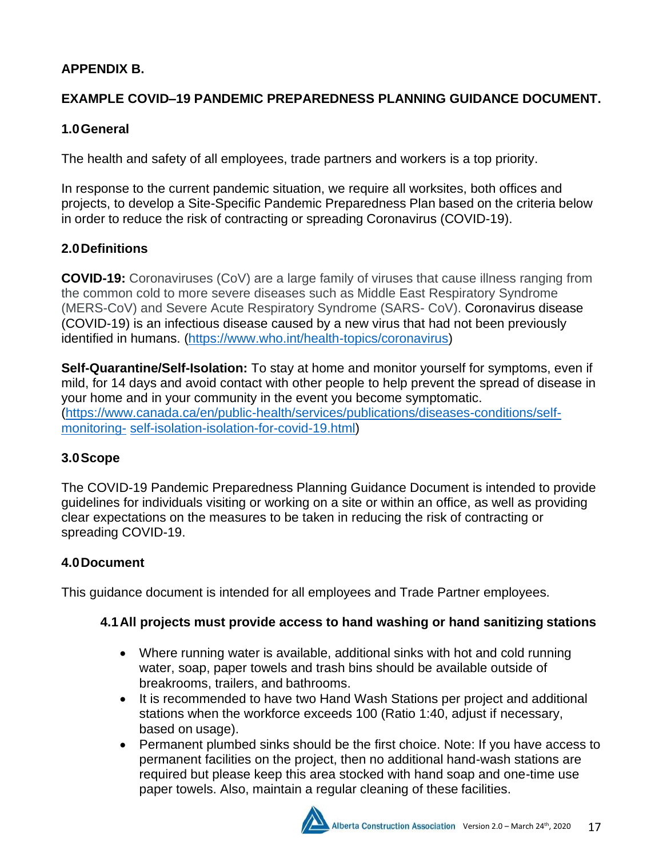# **APPENDIX B.**

# **EXAMPLE COVID–19 PANDEMIC PREPAREDNESS PLANNING GUIDANCE DOCUMENT.**

# **1.0General**

The health and safety of all employees, trade partners and workers is a top priority.

In response to the current pandemic situation, we require all worksites, both offices and projects, to develop a Site-Specific Pandemic Preparedness Plan based on the criteria below in order to reduce the risk of contracting or spreading Coronavirus (COVID-19).

# **2.0Definitions**

**COVID-19:** Coronaviruses (CoV) are a large family of viruses that cause illness ranging from the common cold to more severe diseases such as Middle East Respiratory Syndrome (MERS-CoV) and Severe Acute Respiratory Syndrome (SARS- CoV). Coronavirus disease (COVID-19) is an infectious disease caused by a new virus that had not been previously identified in humans. [\(https://www.who.int/health-topics/coronavirus\)](https://www.who.int/health-topics/coronavirus)

**Self-Quarantine/Self-Isolation:** To stay at home and monitor yourself for symptoms, even if mild, for 14 days and avoid contact with other people to help prevent the spread of disease in your home and in your community in the event you become symptomatic. [\(https://www.canada.ca/en/public-health/services/publications/diseases-conditions/self](https://www.canada.ca/en/public-health/services/publications/diseases-conditions/self-monitoring-self-isolation-isolation-for-covid-19.html)[monitoring-](https://www.canada.ca/en/public-health/services/publications/diseases-conditions/self-monitoring-self-isolation-isolation-for-covid-19.html) [self-isolation-isolation-for-covid-19.html\)](https://www.canada.ca/en/public-health/services/publications/diseases-conditions/self-monitoring-self-isolation-isolation-for-covid-19.html)

# **3.0Scope**

The COVID-19 Pandemic Preparedness Planning Guidance Document is intended to provide guidelines for individuals visiting or working on a site or within an office, as well as providing clear expectations on the measures to be taken in reducing the risk of contracting or spreading COVID-19.

# **4.0Document**

This guidance document is intended for all employees and Trade Partner employees.

# **4.1All projects must provide access to hand washing or hand sanitizing stations**

- Where running water is available, additional sinks with hot and cold running water, soap, paper towels and trash bins should be available outside of breakrooms, trailers, and bathrooms.
- It is recommended to have two Hand Wash Stations per project and additional stations when the workforce exceeds 100 (Ratio 1:40, adjust if necessary, based on usage).
- Permanent plumbed sinks should be the first choice. Note: If you have access to permanent facilities on the project, then no additional hand-wash stations are required but please keep this area stocked with hand soap and one-time use paper towels. Also, maintain a regular cleaning of these facilities.

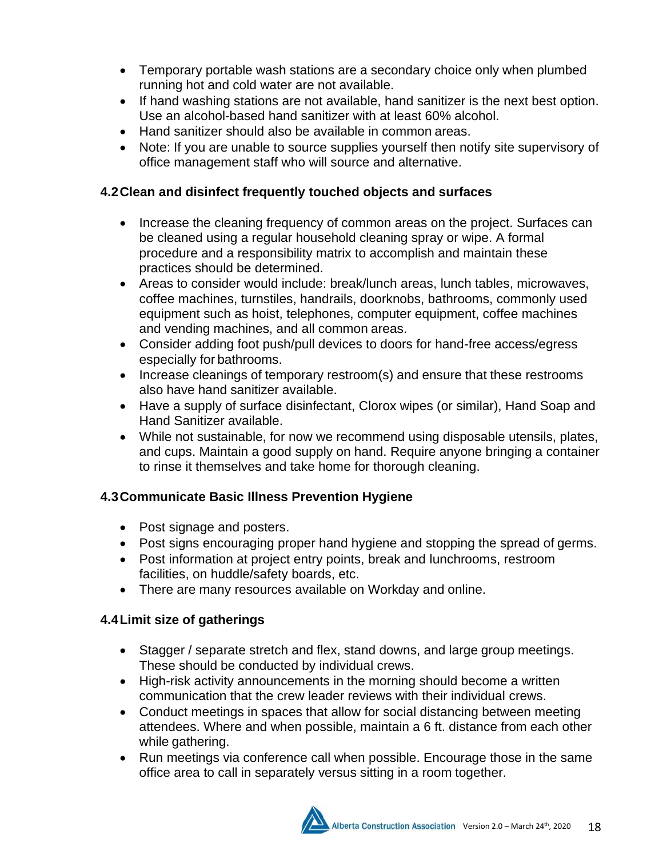- Temporary portable wash stations are a secondary choice only when plumbed running hot and cold water are not available.
- If hand washing stations are not available, hand sanitizer is the next best option. Use an alcohol-based hand sanitizer with at least 60% alcohol.
- Hand sanitizer should also be available in common areas.
- Note: If you are unable to source supplies yourself then notify site supervisory of office management staff who will source and alternative.

# **4.2Clean and disinfect frequently touched objects and surfaces**

- Increase the cleaning frequency of common areas on the project. Surfaces can be cleaned using a regular household cleaning spray or wipe. A formal procedure and a responsibility matrix to accomplish and maintain these practices should be determined.
- Areas to consider would include: break/lunch areas, lunch tables, microwaves, coffee machines, turnstiles, handrails, doorknobs, bathrooms, commonly used equipment such as hoist, telephones, computer equipment, coffee machines and vending machines, and all common areas.
- Consider adding foot push/pull devices to doors for hand-free access/egress especially for bathrooms.
- Increase cleanings of temporary restroom(s) and ensure that these restrooms also have hand sanitizer available.
- Have a supply of surface disinfectant, Clorox wipes (or similar), Hand Soap and Hand Sanitizer available.
- While not sustainable, for now we recommend using disposable utensils, plates, and cups. Maintain a good supply on hand. Require anyone bringing a container to rinse it themselves and take home for thorough cleaning.

# **4.3Communicate Basic Illness Prevention Hygiene**

- Post signage and posters.
- Post signs encouraging proper hand hygiene and stopping the spread of germs.
- Post information at project entry points, break and lunchrooms, restroom facilities, on huddle/safety boards, etc.
- There are many resources available on Workday and online.

# **4.4Limit size of gatherings**

- Stagger / separate stretch and flex, stand downs, and large group meetings. These should be conducted by individual crews.
- High-risk activity announcements in the morning should become a written communication that the crew leader reviews with their individual crews.
- Conduct meetings in spaces that allow for social distancing between meeting attendees. Where and when possible, maintain a 6 ft. distance from each other while gathering.
- Run meetings via conference call when possible. Encourage those in the same office area to call in separately versus sitting in a room together.

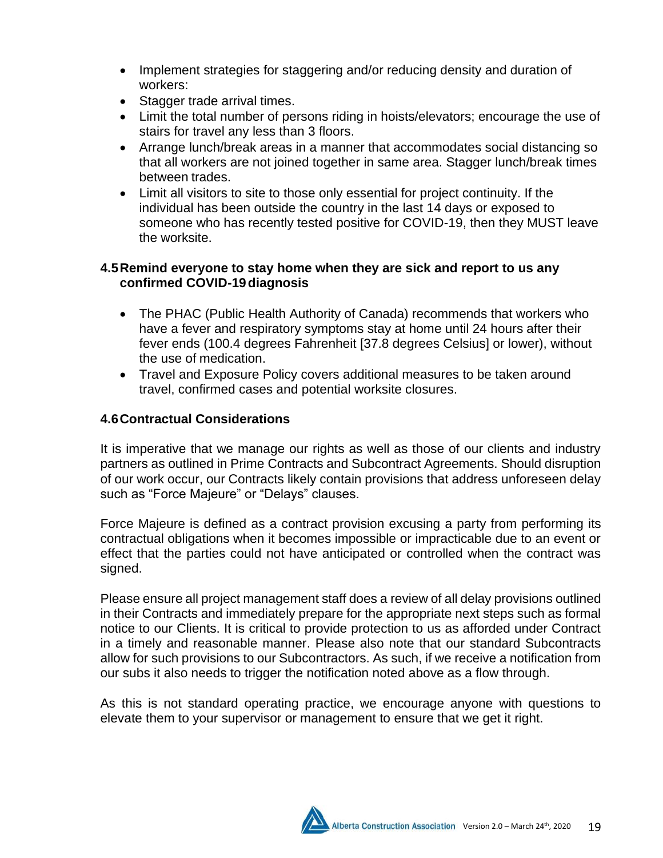- Implement strategies for staggering and/or reducing density and duration of workers:
- Stagger trade arrival times.
- Limit the total number of persons riding in hoists/elevators; encourage the use of stairs for travel any less than 3 floors.
- Arrange lunch/break areas in a manner that accommodates social distancing so that all workers are not joined together in same area. Stagger lunch/break times between trades.
- Limit all visitors to site to those only essential for project continuity. If the individual has been outside the country in the last 14 days or exposed to someone who has recently tested positive for COVID-19, then they MUST leave the worksite.

## **4.5Remind everyone to stay home when they are sick and report to us any confirmed COVID-19diagnosis**

- The PHAC (Public Health Authority of Canada) recommends that workers who have a fever and respiratory symptoms stay at home until 24 hours after their fever ends (100.4 degrees Fahrenheit [37.8 degrees Celsius] or lower), without the use of medication.
- Travel and Exposure Policy covers additional measures to be taken around travel, confirmed cases and potential worksite closures.

# **4.6Contractual Considerations**

It is imperative that we manage our rights as well as those of our clients and industry partners as outlined in Prime Contracts and Subcontract Agreements. Should disruption of our work occur, our Contracts likely contain provisions that address unforeseen delay such as "Force Majeure" or "Delays" clauses.

Force Majeure is defined as a contract provision excusing a party from performing its contractual obligations when it becomes impossible or impracticable due to an event or effect that the parties could not have anticipated or controlled when the contract was signed.

Please ensure all project management staff does a review of all delay provisions outlined in their Contracts and immediately prepare for the appropriate next steps such as formal notice to our Clients. It is critical to provide protection to us as afforded under Contract in a timely and reasonable manner. Please also note that our standard Subcontracts allow for such provisions to our Subcontractors. As such, if we receive a notification from our subs it also needs to trigger the notification noted above as a flow through.

As this is not standard operating practice, we encourage anyone with questions to elevate them to your supervisor or management to ensure that we get it right.

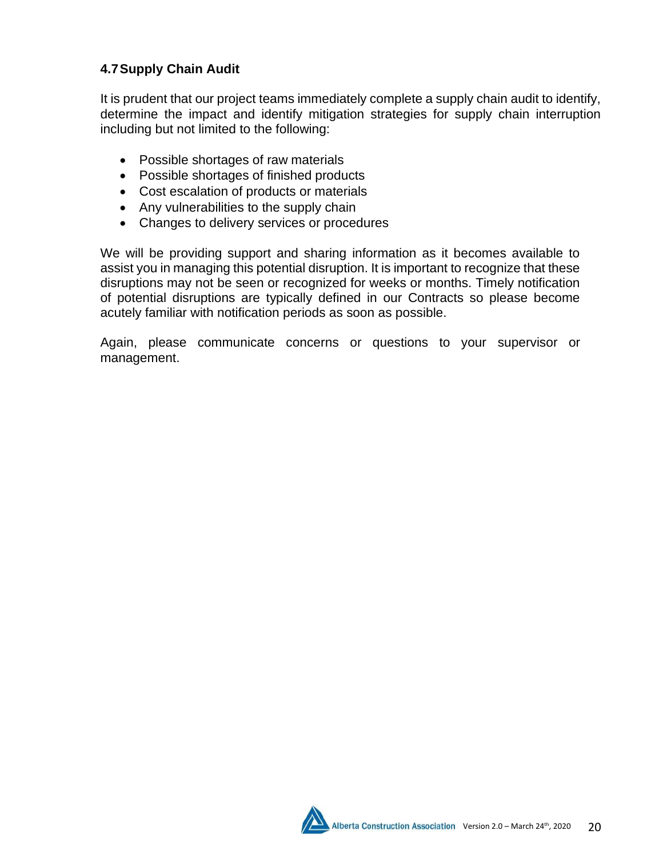# **4.7Supply Chain Audit**

It is prudent that our project teams immediately complete a supply chain audit to identify, determine the impact and identify mitigation strategies for supply chain interruption including but not limited to the following:

- Possible shortages of raw materials
- Possible shortages of finished products
- Cost escalation of products or materials
- Any vulnerabilities to the supply chain
- Changes to delivery services or procedures

We will be providing support and sharing information as it becomes available to assist you in managing this potential disruption. It is important to recognize that these disruptions may not be seen or recognized for weeks or months. Timely notification of potential disruptions are typically defined in our Contracts so please become acutely familiar with notification periods as soon as possible.

Again, please communicate concerns or questions to your supervisor or management.

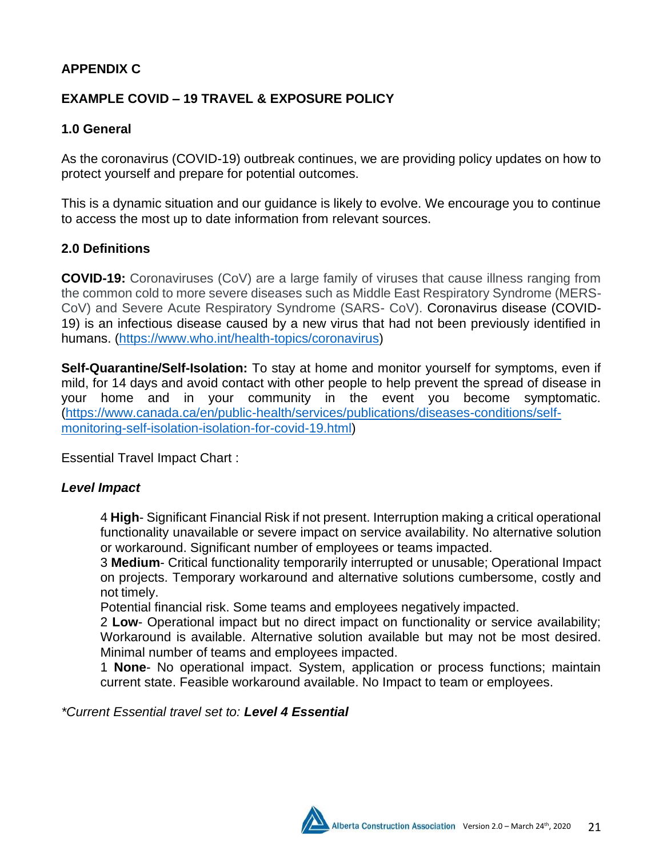## **APPENDIX C**

# **EXAMPLE COVID – 19 TRAVEL & EXPOSURE POLICY**

#### **1.0 General**

As the coronavirus (COVID-19) outbreak continues, we are providing policy updates on how to protect yourself and prepare for potential outcomes.

This is a dynamic situation and our guidance is likely to evolve. We encourage you to continue to access the most up to date information from relevant sources.

#### **2.0 Definitions**

**COVID-19:** Coronaviruses (CoV) are a large family of viruses that cause illness ranging from the common cold to more severe diseases such as Middle East Respiratory Syndrome (MERS-CoV) and Severe Acute Respiratory Syndrome (SARS- CoV). Coronavirus disease (COVID-19) is an infectious disease caused by a new virus that had not been previously identified in humans. [\(https://www.who.int/health-topics/coronavirus\)](https://www.who.int/health-topics/coronavirus)

**Self-Quarantine/Self-Isolation:** To stay at home and monitor yourself for symptoms, even if mild, for 14 days and avoid contact with other people to help prevent the spread of disease in your home and in your community in the event you become symptomatic. [\(https://www.canada.ca/en/public-health/services/publications/diseases-conditions/self](https://www.canada.ca/en/public-health/services/publications/diseases-conditions/self-monitoring-self-isolation-isolation-for-covid-19.html)[monitoring-self-isolation-isolation-for-covid-19.html\)](https://www.canada.ca/en/public-health/services/publications/diseases-conditions/self-monitoring-self-isolation-isolation-for-covid-19.html)

Essential Travel Impact Chart :

#### *Level Impact*

4 **High**- Significant Financial Risk if not present. Interruption making a critical operational functionality unavailable or severe impact on service availability. No alternative solution or workaround. Significant number of employees or teams impacted.

3 **Medium**- Critical functionality temporarily interrupted or unusable; Operational Impact on projects. Temporary workaround and alternative solutions cumbersome, costly and not timely.

Potential financial risk. Some teams and employees negatively impacted.

2 **Low**- Operational impact but no direct impact on functionality or service availability; Workaround is available. Alternative solution available but may not be most desired. Minimal number of teams and employees impacted.

1 **None**- No operational impact. System, application or process functions; maintain current state. Feasible workaround available. No Impact to team or employees.

*\*Current Essential travel set to: Level 4 Essential*

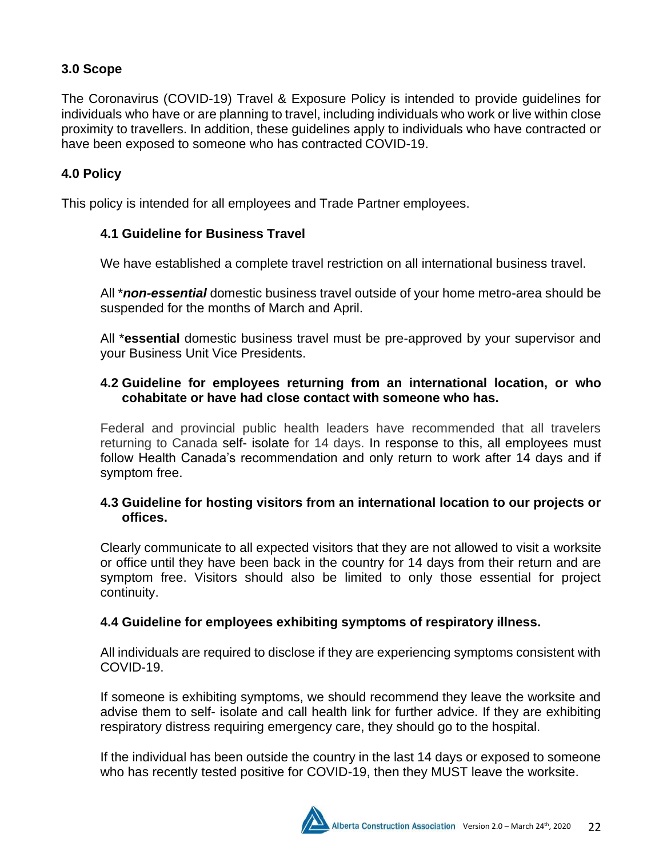# **3.0 Scope**

The Coronavirus (COVID-19) Travel & Exposure Policy is intended to provide guidelines for individuals who have or are planning to travel, including individuals who work or live within close proximity to travellers. In addition, these guidelines apply to individuals who have contracted or have been exposed to someone who has contracted COVID-19.

# **4.0 Policy**

This policy is intended for all employees and Trade Partner employees.

### **4.1 Guideline for Business Travel**

We have established a complete travel restriction on all international business travel.

All \**non-essential* domestic business travel outside of your home metro-area should be suspended for the months of March and April.

All \***essential** domestic business travel must be pre-approved by your supervisor and your Business Unit Vice Presidents.

### **4.2 Guideline for employees returning from an international location, or who cohabitate or have had close contact with someone who has.**

Federal and provincial public health leaders have recommended that all travelers returning to Canada [self-](https://www.canada.ca/en/public-health/services/publications/diseases-conditions/self-monitoring-self-isolation-isolation-for-covid-19.html) [isolate f](https://www.canada.ca/en/public-health/services/publications/diseases-conditions/self-monitoring-self-isolation-isolation-for-covid-19.html)or 14 days. In response to this, all employees must follow Health Canada's recommendation and only return to work after 14 days and if symptom free.

### **4.3 Guideline for hosting visitors from an international location to our projects or offices.**

Clearly communicate to all expected visitors that they are not allowed to visit a worksite or office until they have been back in the country for 14 days from their return and are symptom free. Visitors should also be limited to only those essential for project continuity.

#### **4.4 Guideline for employees exhibiting symptoms of respiratory illness.**

All individuals are required to disclose if they are experiencing symptoms consistent with COVID-19.

If someone is exhibiting symptoms, we should recommend they leave the worksite and advise them to self- isolate and call health link for further advice. If they are exhibiting respiratory distress requiring emergency care, they should go to the hospital.

If the individual has been outside the country in the last 14 days or exposed to someone who has recently tested positive for COVID-19, then they MUST leave the worksite.